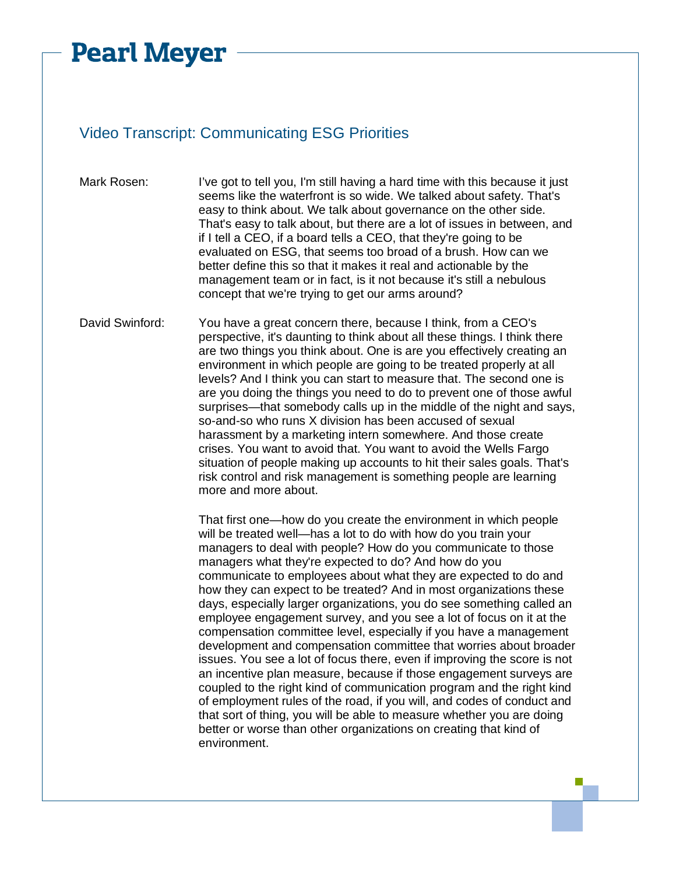## **Pearl Meyer**

## Video Transcript: Communicating ESG Priorities

- Mark Rosen: I've got to tell you, I'm still having a hard time with this because it just seems like the waterfront is so wide. We talked about safety. That's easy to think about. We talk about governance on the other side. That's easy to talk about, but there are a lot of issues in between, and if I tell a CEO, if a board tells a CEO, that they're going to be evaluated on ESG, that seems too broad of a brush. How can we better define this so that it makes it real and actionable by the management team or in fact, is it not because it's still a nebulous concept that we're trying to get our arms around?
- David Swinford: You have a great concern there, because I think, from a CEO's perspective, it's daunting to think about all these things. I think there are two things you think about. One is are you effectively creating an environment in which people are going to be treated properly at all levels? And I think you can start to measure that. The second one is are you doing the things you need to do to prevent one of those awful surprises—that somebody calls up in the middle of the night and says, so-and-so who runs X division has been accused of sexual harassment by a marketing intern somewhere. And those create crises. You want to avoid that. You want to avoid the Wells Fargo situation of people making up accounts to hit their sales goals. That's risk control and risk management is something people are learning more and more about.

That first one—how do you create the environment in which people will be treated well—has a lot to do with how do you train your managers to deal with people? How do you communicate to those managers what they're expected to do? And how do you communicate to employees about what they are expected to do and how they can expect to be treated? And in most organizations these days, especially larger organizations, you do see something called an employee engagement survey, and you see a lot of focus on it at the compensation committee level, especially if you have a management development and compensation committee that worries about broader issues. You see a lot of focus there, even if improving the score is not an incentive plan measure, because if those engagement surveys are coupled to the right kind of communication program and the right kind of employment rules of the road, if you will, and codes of conduct and that sort of thing, you will be able to measure whether you are doing better or worse than other organizations on creating that kind of environment.